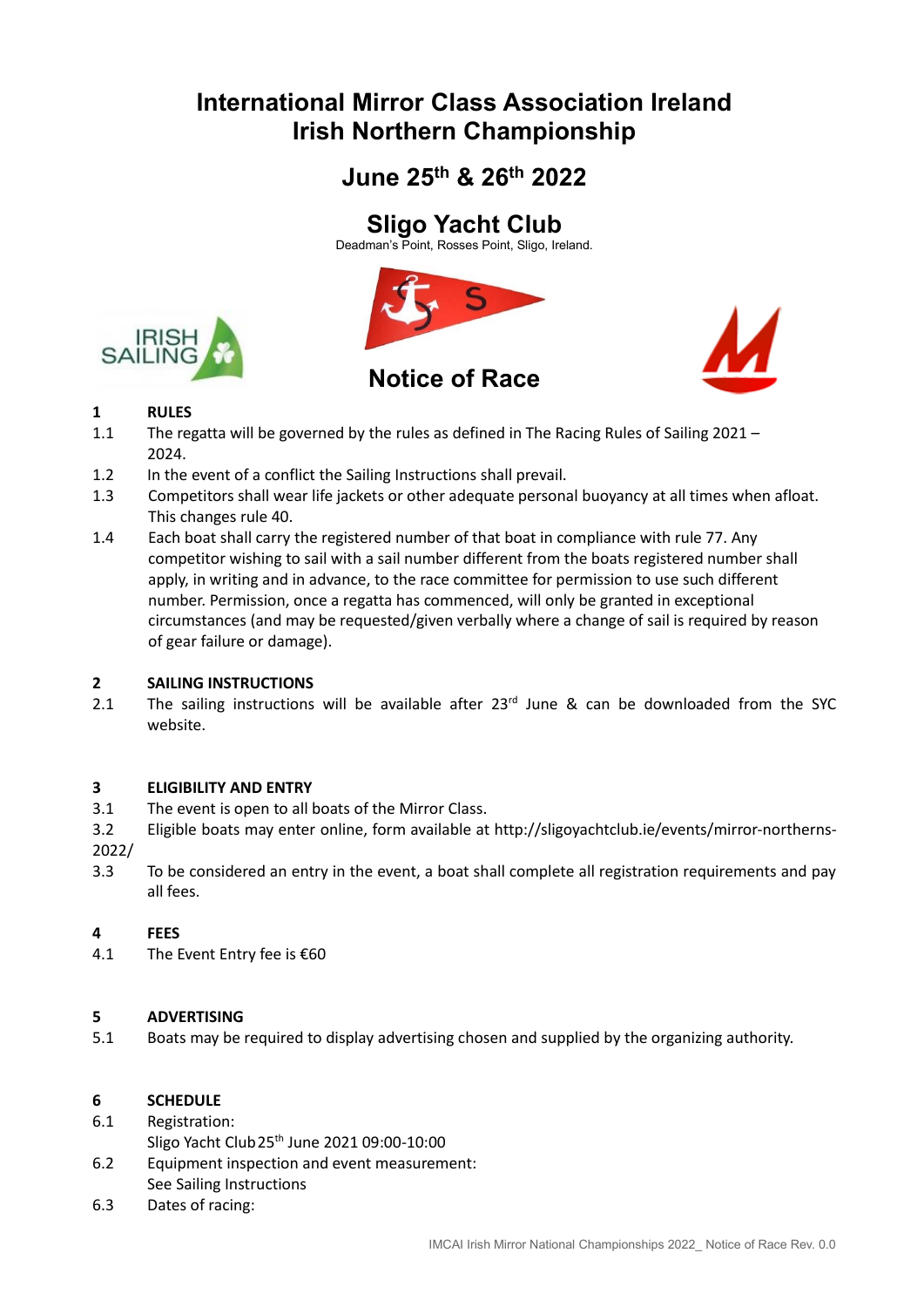# **International Mirror Class Association Ireland Irish Northern Championship**

# **June 25th & 26 th 2022**

# **Sligo Yacht Club**

Deadman's Point, Rosses Point, Sligo, Ireland.





## **Notice of Race**



## **1 RULES**

- 1.1 The regatta will be governed by the rules as defined in The Racing Rules of Sailing 2021 2024.
- 1.2 In the event of a conflict the Sailing Instructions shall prevail.
- 1.3 Competitors shall wear life jackets or other adequate personal buoyancy at all times when afloat. This changes rule 40.
- 1.4 Each boat shall carry the registered number of that boat in compliance with rule 77. Any competitor wishing to sail with a sail number different from the boats registered number shall apply, in writing and in advance, to the race committee for permission to use such different number. Permission, once a regatta has commenced, will only be granted in exceptional circumstances (and may be requested/given verbally where a change of sail is required by reason of gear failure or damage).

## **2 SAILING INSTRUCTIONS**

2.1 The sailing instructions will be available after  $23<sup>rd</sup>$  June & can be downloaded from the SYC website.

### **3 ELIGIBILITY AND ENTRY**

- 3.1 The event is open to all boats of the Mirror Class.
- 3.2 Eligible boats may enter online, form available at http://sligoyachtclub.ie/events/mirror-northerns-2022/
- 3.3 To be considered an entry in the event, a boat shall complete all registration requirements and pay all fees.

### **4 FEES**

4.1 The Event Entry fee is €60

## **5 ADVERTISING**

5.1 Boats may be required to display advertising chosen and supplied by the organizing authority.

### **6 SCHEDULE**

### 6.1 Registration:

- Sligo Yacht Club25th June 2021 09:00-10:00
- 6.2 Equipment inspection and event measurement:
- See Sailing Instructions
- 6.3 Dates of racing: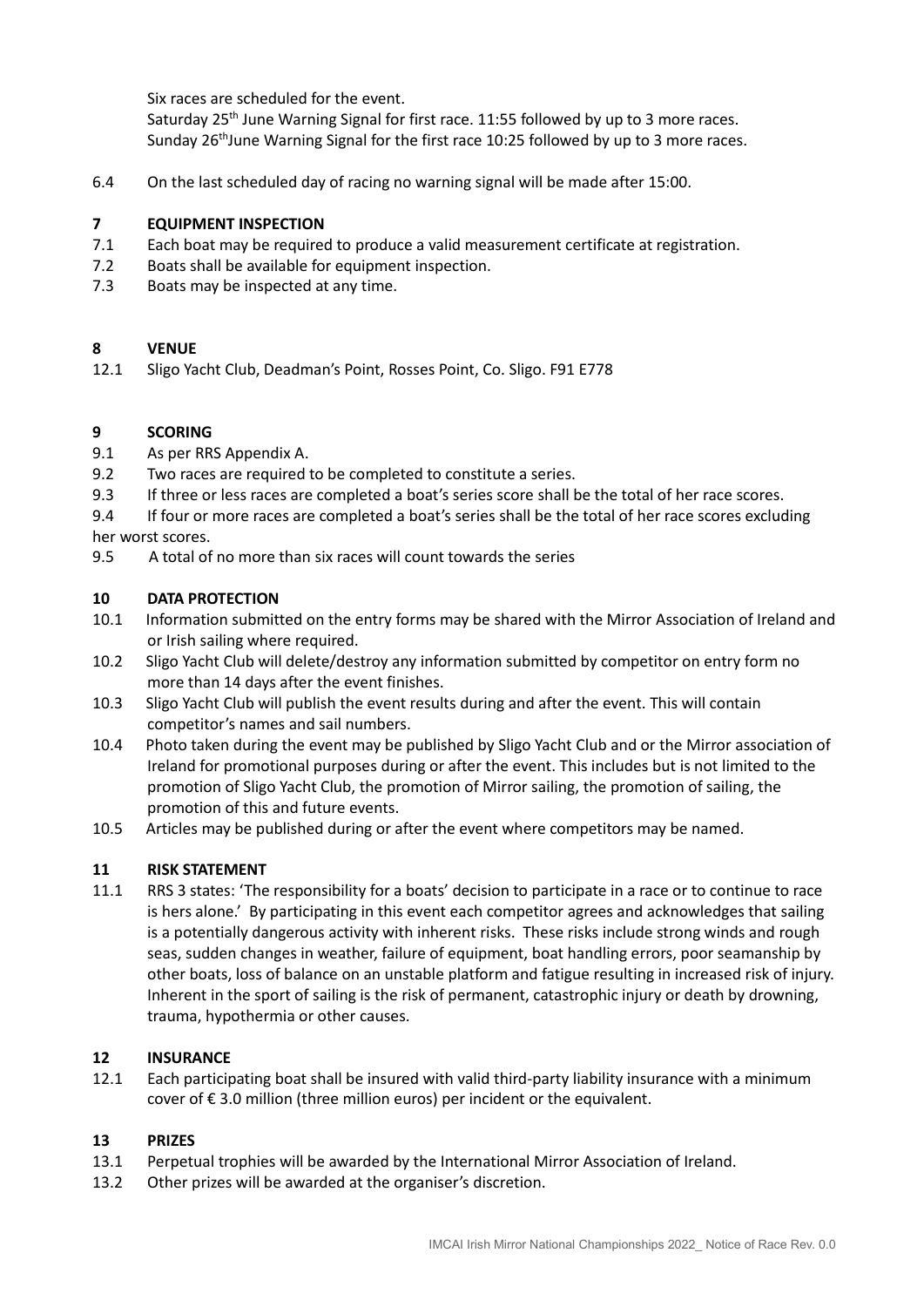Six races are scheduled for the event.

Saturday  $25<sup>th</sup>$  June Warning Signal for first race. 11:55 followed by up to 3 more races. Sunday  $26<sup>th</sup>$ June Warning Signal for the first race 10:25 followed by up to 3 more races.

6.4 On the last scheduled day of racing no warning signal will be made after 15:00.

### **7 EQUIPMENT INSPECTION**

- 7.1 Each boat may be required to produce a valid measurement certificate at registration.
- 7.2 Boats shall be available for equipment inspection.
- 7.3 Boats may be inspected at any time.

### **8 VENUE**

12.1 Sligo Yacht Club, Deadman's Point, Rosses Point, Co. Sligo. F91 E778

#### **9 SCORING**

- 9.1 As per RRS Appendix A.
- 9.2 Two races are required to be completed to constitute a series.
- 9.3 If three or less races are completed a boat's series score shall be the total of her race scores.
- 9.4 If four or more races are completed a boat's series shall be the total of her race scores excluding her worst scores.
- 9.5 A total of no more than six races will count towards the series

#### **10 DATA PROTECTION**

- 10.1 Information submitted on the entry forms may be shared with the Mirror Association of Ireland and or Irish sailing where required.
- 10.2 Sligo Yacht Club will delete/destroy any information submitted by competitor on entry form no more than 14 days after the event finishes.
- 10.3 Sligo Yacht Club will publish the event results during and after the event. This will contain competitor's names and sail numbers.
- 10.4 Photo taken during the event may be published by Sligo Yacht Club and or the Mirror association of Ireland for promotional purposes during or after the event. This includes but is not limited to the promotion of Sligo Yacht Club, the promotion of Mirror sailing, the promotion of sailing, the promotion of this and future events.
- 10.5 Articles may be published during or after the event where competitors may be named.

#### **11 RISK STATEMENT**

11.1 RRS 3 states: 'The responsibility for a boats' decision to participate in a race or to continue to race is hers alone.' By participating in this event each competitor agrees and acknowledges that sailing is a potentially dangerous activity with inherent risks. These risks include strong winds and rough seas, sudden changes in weather, failure of equipment, boat handling errors, poor seamanship by other boats, loss of balance on an unstable platform and fatigue resulting in increased risk of injury. Inherent in the sport of sailing is the risk of permanent, catastrophic injury or death by drowning, trauma, hypothermia or other causes.

### **12 INSURANCE**

12.1 Each participating boat shall be insured with valid third-party liability insurance with a minimum cover of € 3.0 million (three million euros) per incident or the equivalent.

#### **13 PRIZES**

- 13.1 Perpetual trophies will be awarded by the International Mirror Association of Ireland.
- 13.2 Other prizes will be awarded at the organiser's discretion.